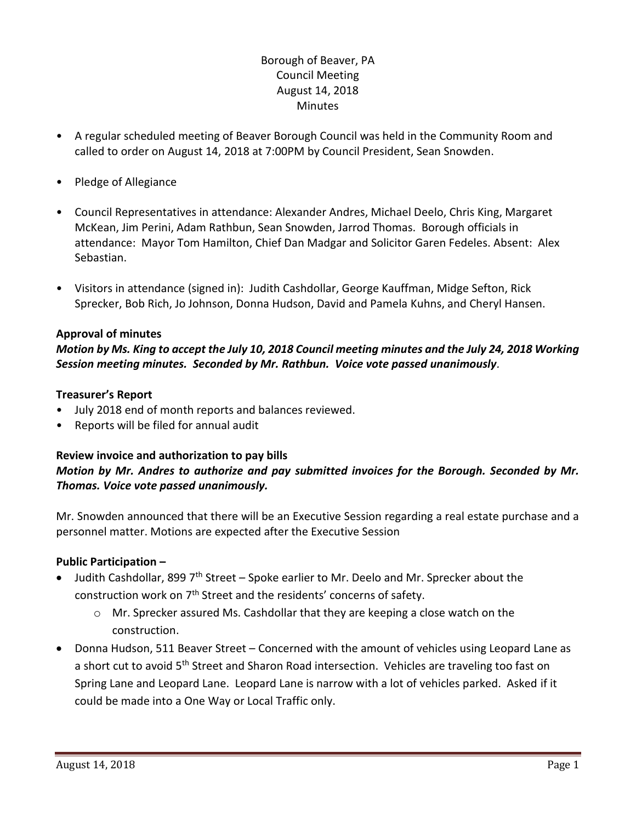# Borough of Beaver, PA Council Meeting August 14, 2018 **Minutes**

- A regular scheduled meeting of Beaver Borough Council was held in the Community Room and called to order on August 14, 2018 at 7:00PM by Council President, Sean Snowden.
- Pledge of Allegiance
- Council Representatives in attendance: Alexander Andres, Michael Deelo, Chris King, Margaret McKean, Jim Perini, Adam Rathbun, Sean Snowden, Jarrod Thomas. Borough officials in attendance: Mayor Tom Hamilton, Chief Dan Madgar and Solicitor Garen Fedeles. Absent: Alex Sebastian.
- Visitors in attendance (signed in): Judith Cashdollar, George Kauffman, Midge Sefton, Rick Sprecker, Bob Rich, Jo Johnson, Donna Hudson, David and Pamela Kuhns, and Cheryl Hansen.

### **Approval of minutes**

## *Motion by Ms. King to accept the July 10, 2018 Council meeting minutes and the July 24, 2018 Working Session meeting minutes. Seconded by Mr. Rathbun. Voice vote passed unanimously.*

### **Treasurer's Report**

- July 2018 end of month reports and balances reviewed.
- Reports will be filed for annual audit

### **Review invoice and authorization to pay bills** *Motion by Mr. Andres to authorize and pay submitted invoices for the Borough. Seconded by Mr. Thomas. Voice vote passed unanimously.*

Mr. Snowden announced that there will be an Executive Session regarding a real estate purchase and a personnel matter. Motions are expected after the Executive Session

### **Public Participation –**

- $\bullet$  Judith Cashdollar, 899 7<sup>th</sup> Street Spoke earlier to Mr. Deelo and Mr. Sprecker about the construction work on  $7<sup>th</sup>$  Street and the residents' concerns of safety.
	- $\circ$  Mr. Sprecker assured Ms. Cashdollar that they are keeping a close watch on the construction.
- Donna Hudson, 511 Beaver Street Concerned with the amount of vehicles using Leopard Lane as a short cut to avoid 5<sup>th</sup> Street and Sharon Road intersection. Vehicles are traveling too fast on Spring Lane and Leopard Lane. Leopard Lane is narrow with a lot of vehicles parked. Asked if it could be made into a One Way or Local Traffic only.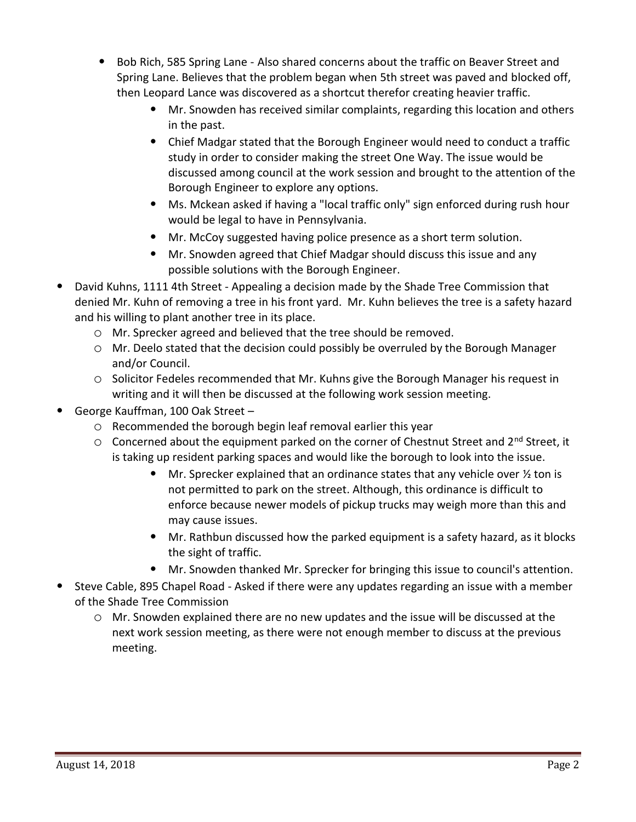- Bob Rich, 585 Spring Lane Also shared concerns about the traffic on Beaver Street and Spring Lane. Believes that the problem began when 5th street was paved and blocked off, then Leopard Lance was discovered as a shortcut therefor creating heavier traffic.
	- Mr. Snowden has received similar complaints, regarding this location and others in the past.
	- Chief Madgar stated that the Borough Engineer would need to conduct a traffic study in order to consider making the street One Way. The issue would be discussed among council at the work session and brought to the attention of the Borough Engineer to explore any options.
	- Ms. Mckean asked if having a "local traffic only" sign enforced during rush hour would be legal to have in Pennsylvania.
	- Mr. McCoy suggested having police presence as a short term solution.
	- Mr. Snowden agreed that Chief Madgar should discuss this issue and any possible solutions with the Borough Engineer.
- David Kuhns, 1111 4th Street Appealing a decision made by the Shade Tree Commission that denied Mr. Kuhn of removing a tree in his front yard. Mr. Kuhn believes the tree is a safety hazard and his willing to plant another tree in its place.
	- o Mr. Sprecker agreed and believed that the tree should be removed.
	- o Mr. Deelo stated that the decision could possibly be overruled by the Borough Manager and/or Council.
	- o Solicitor Fedeles recommended that Mr. Kuhns give the Borough Manager his request in writing and it will then be discussed at the following work session meeting.
- George Kauffman, 100 Oak Street
	- o Recommended the borough begin leaf removal earlier this year
	- $\circ$  Concerned about the equipment parked on the corner of Chestnut Street and 2<sup>nd</sup> Street, it is taking up resident parking spaces and would like the borough to look into the issue.
		- Mr. Sprecker explained that an ordinance states that any vehicle over  $\frac{1}{2}$  ton is not permitted to park on the street. Although, this ordinance is difficult to enforce because newer models of pickup trucks may weigh more than this and may cause issues.
		- Mr. Rathbun discussed how the parked equipment is a safety hazard, as it blocks the sight of traffic.
		- Mr. Snowden thanked Mr. Sprecker for bringing this issue to council's attention.
- Steve Cable, 895 Chapel Road Asked if there were any updates regarding an issue with a member of the Shade Tree Commission
	- o Mr. Snowden explained there are no new updates and the issue will be discussed at the next work session meeting, as there were not enough member to discuss at the previous meeting.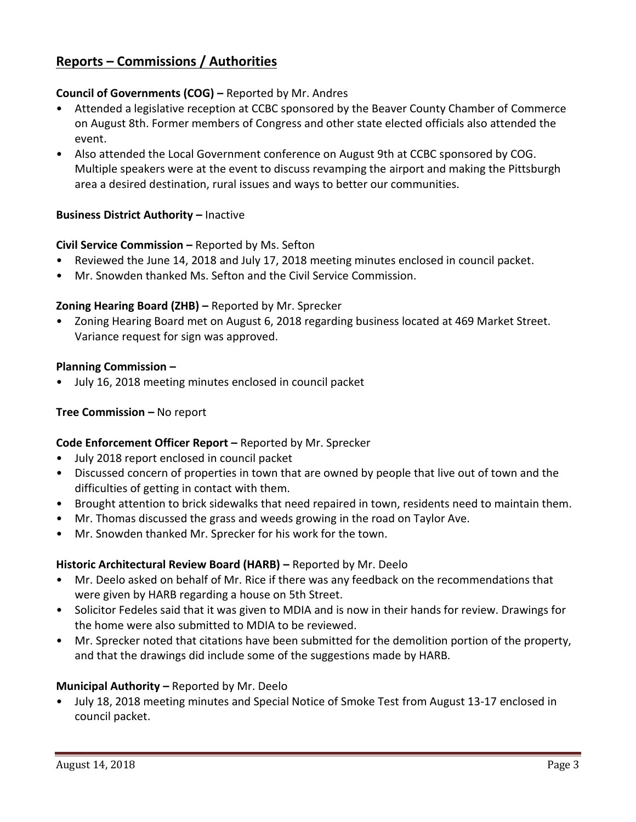# **Reports – Commissions / Authorities**

### **Council of Governments (COG) –** Reported by Mr. Andres

- Attended a legislative reception at CCBC sponsored by the Beaver County Chamber of Commerce on August 8th. Former members of Congress and other state elected officials also attended the event.
- Also attended the Local Government conference on August 9th at CCBC sponsored by COG. Multiple speakers were at the event to discuss revamping the airport and making the Pittsburgh area a desired destination, rural issues and ways to better our communities.

### **Business District Authority – Inactive**

### **Civil Service Commission –** Reported by Ms. Sefton

- Reviewed the June 14, 2018 and July 17, 2018 meeting minutes enclosed in council packet.
- Mr. Snowden thanked Ms. Sefton and the Civil Service Commission.

### **Zoning Hearing Board (ZHB) –** Reported by Mr. Sprecker

• Zoning Hearing Board met on August 6, 2018 regarding business located at 469 Market Street. Variance request for sign was approved.

### **Planning Commission –**

• July 16, 2018 meeting minutes enclosed in council packet

### **Tree Commission –** No report

### **Code Enforcement Officer Report –** Reported by Mr. Sprecker

- July 2018 report enclosed in council packet
- Discussed concern of properties in town that are owned by people that live out of town and the difficulties of getting in contact with them.
- Brought attention to brick sidewalks that need repaired in town, residents need to maintain them.
- Mr. Thomas discussed the grass and weeds growing in the road on Taylor Ave.
- Mr. Snowden thanked Mr. Sprecker for his work for the town.

### **Historic Architectural Review Board (HARB) –** Reported by Mr. Deelo

- Mr. Deelo asked on behalf of Mr. Rice if there was any feedback on the recommendations that were given by HARB regarding a house on 5th Street.
- Solicitor Fedeles said that it was given to MDIA and is now in their hands for review. Drawings for the home were also submitted to MDIA to be reviewed.
- Mr. Sprecker noted that citations have been submitted for the demolition portion of the property, and that the drawings did include some of the suggestions made by HARB.

### **Municipal Authority –** Reported by Mr. Deelo

• July 18, 2018 meeting minutes and Special Notice of Smoke Test from August 13-17 enclosed in council packet.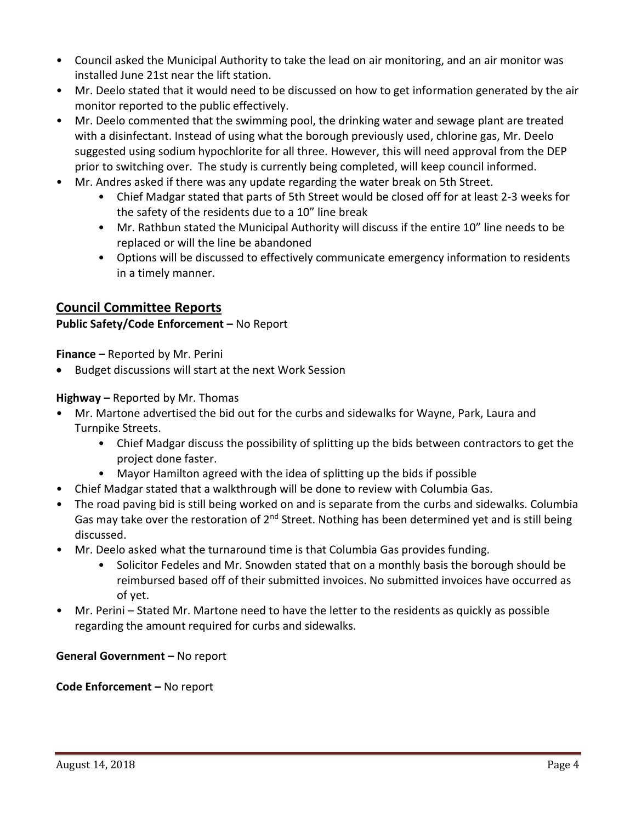- Council asked the Municipal Authority to take the lead on air monitoring, and an air monitor was installed June 21st near the lift station.
- Mr. Deelo stated that it would need to be discussed on how to get information generated by the air monitor reported to the public effectively.
- Mr. Deelo commented that the swimming pool, the drinking water and sewage plant are treated with a disinfectant. Instead of using what the borough previously used, chlorine gas, Mr. Deelo suggested using sodium hypochlorite for all three. However, this will need approval from the DEP prior to switching over. The study is currently being completed, will keep council informed.
- Mr. Andres asked if there was any update regarding the water break on 5th Street.
	- Chief Madgar stated that parts of 5th Street would be closed off for at least 2-3 weeks for the safety of the residents due to a 10" line break
	- Mr. Rathbun stated the Municipal Authority will discuss if the entire 10" line needs to be replaced or will the line be abandoned
	- Options will be discussed to effectively communicate emergency information to residents in a timely manner.

# **Council Committee Reports**

### **Public Safety/Code Enforcement –** No Report

**Finance –** Reported by Mr. Perini

Budget discussions will start at the next Work Session

**Highway –** Reported by Mr. Thomas

- Mr. Martone advertised the bid out for the curbs and sidewalks for Wayne, Park, Laura and Turnpike Streets.
	- Chief Madgar discuss the possibility of splitting up the bids between contractors to get the project done faster.
	- Mayor Hamilton agreed with the idea of splitting up the bids if possible
- Chief Madgar stated that a walkthrough will be done to review with Columbia Gas.
- The road paving bid is still being worked on and is separate from the curbs and sidewalks. Columbia Gas may take over the restoration of  $2^{nd}$  Street. Nothing has been determined yet and is still being discussed.
- Mr. Deelo asked what the turnaround time is that Columbia Gas provides funding.
	- Solicitor Fedeles and Mr. Snowden stated that on a monthly basis the borough should be reimbursed based off of their submitted invoices. No submitted invoices have occurred as of yet.
- Mr. Perini Stated Mr. Martone need to have the letter to the residents as quickly as possible regarding the amount required for curbs and sidewalks.

### **General Government –** No report

### **Code Enforcement –** No report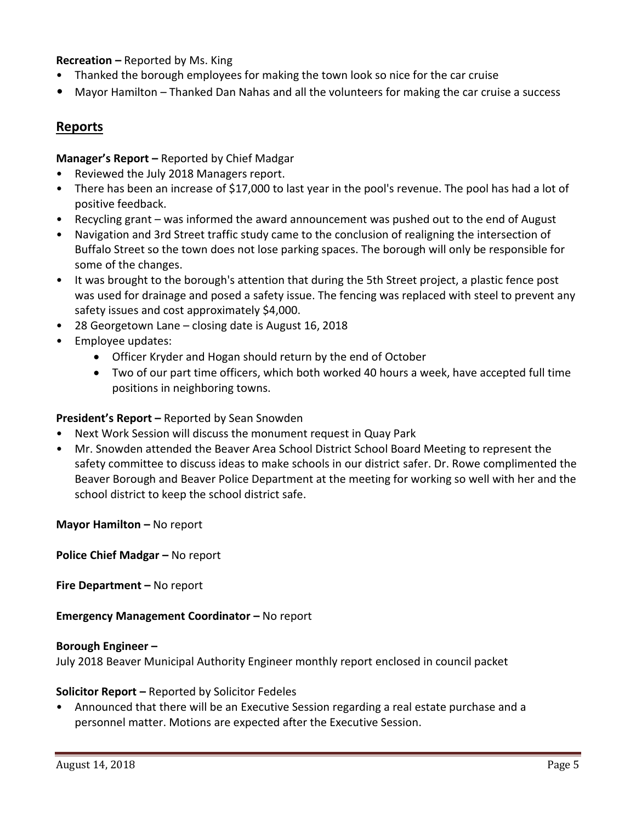### **Recreation –** Reported by Ms. King

- Thanked the borough employees for making the town look so nice for the car cruise
- Mayor Hamilton Thanked Dan Nahas and all the volunteers for making the car cruise a success

## **Reports**

**Manager's Report –** Reported by Chief Madgar

- Reviewed the July 2018 Managers report.
- There has been an increase of \$17,000 to last year in the pool's revenue. The pool has had a lot of positive feedback.
- Recycling grant was informed the award announcement was pushed out to the end of August
- Navigation and 3rd Street traffic study came to the conclusion of realigning the intersection of Buffalo Street so the town does not lose parking spaces. The borough will only be responsible for some of the changes.
- It was brought to the borough's attention that during the 5th Street project, a plastic fence post was used for drainage and posed a safety issue. The fencing was replaced with steel to prevent any safety issues and cost approximately \$4,000.
- 28 Georgetown Lane closing date is August 16, 2018
- Employee updates:
	- Officer Kryder and Hogan should return by the end of October
	- Two of our part time officers, which both worked 40 hours a week, have accepted full time positions in neighboring towns.

### **President's Report –** Reported by Sean Snowden

- Next Work Session will discuss the monument request in Quay Park
- Mr. Snowden attended the Beaver Area School District School Board Meeting to represent the safety committee to discuss ideas to make schools in our district safer. Dr. Rowe complimented the Beaver Borough and Beaver Police Department at the meeting for working so well with her and the school district to keep the school district safe.

**Mayor Hamilton – No report** 

**Police Chief Madgar –** No report

**Fire Department –** No report

**Emergency Management Coordinator - No report** 

#### **Borough Engineer –**

July 2018 Beaver Municipal Authority Engineer monthly report enclosed in council packet

### **Solicitor Report –** Reported by Solicitor Fedeles

• Announced that there will be an Executive Session regarding a real estate purchase and a personnel matter. Motions are expected after the Executive Session.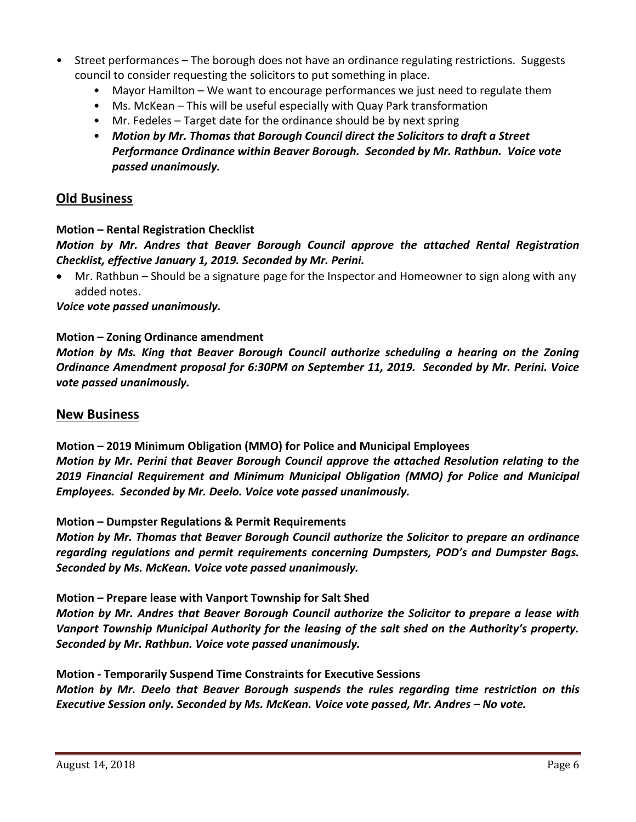- Street performances The borough does not have an ordinance regulating restrictions. Suggests council to consider requesting the solicitors to put something in place.
	- Mayor Hamilton We want to encourage performances we just need to regulate them
	- Ms. McKean This will be useful especially with Quay Park transformation
	- Mr. Fedeles Target date for the ordinance should be by next spring
	- *Motion by Mr. Thomas that Borough Council direct the Solicitors to draft a Street Performance Ordinance within Beaver Borough. Seconded by Mr. Rathbun. Voice vote passed unanimously.*

# **Old Business**

### **Motion – Rental Registration Checklist**

*Motion by Mr. Andres that Beaver Borough Council approve the attached Rental Registration Checklist, effective January 1, 2019. Seconded by Mr. Perini.* 

 Mr. Rathbun – Should be a signature page for the Inspector and Homeowner to sign along with any added notes.

*Voice vote passed unanimously.* 

### **Motion – Zoning Ordinance amendment**

*Motion by Ms. King that Beaver Borough Council authorize scheduling a hearing on the Zoning Ordinance Amendment proposal for 6:30PM on September 11, 2019. Seconded by Mr. Perini. Voice vote passed unanimously.* 

### **New Business**

**Motion – 2019 Minimum Obligation (MMO) for Police and Municipal Employees** *Motion by Mr. Perini that Beaver Borough Council approve the attached Resolution relating to the 2019 Financial Requirement and Minimum Municipal Obligation (MMO) for Police and Municipal Employees. Seconded by Mr. Deelo. Voice vote passed unanimously.*

### **Motion – Dumpster Regulations & Permit Requirements**

*Motion by Mr. Thomas that Beaver Borough Council authorize the Solicitor to prepare an ordinance regarding regulations and permit requirements concerning Dumpsters, POD's and Dumpster Bags. Seconded by Ms. McKean. Voice vote passed unanimously.*

### **Motion – Prepare lease with Vanport Township for Salt Shed**

*Motion by Mr. Andres that Beaver Borough Council authorize the Solicitor to prepare a lease with Vanport Township Municipal Authority for the leasing of the salt shed on the Authority's property. Seconded by Mr. Rathbun. Voice vote passed unanimously.*

**Motion - Temporarily Suspend Time Constraints for Executive Sessions**

*Motion by Mr. Deelo that Beaver Borough suspends the rules regarding time restriction on this Executive Session only. Seconded by Ms. McKean. Voice vote passed, Mr. Andres – No vote.*